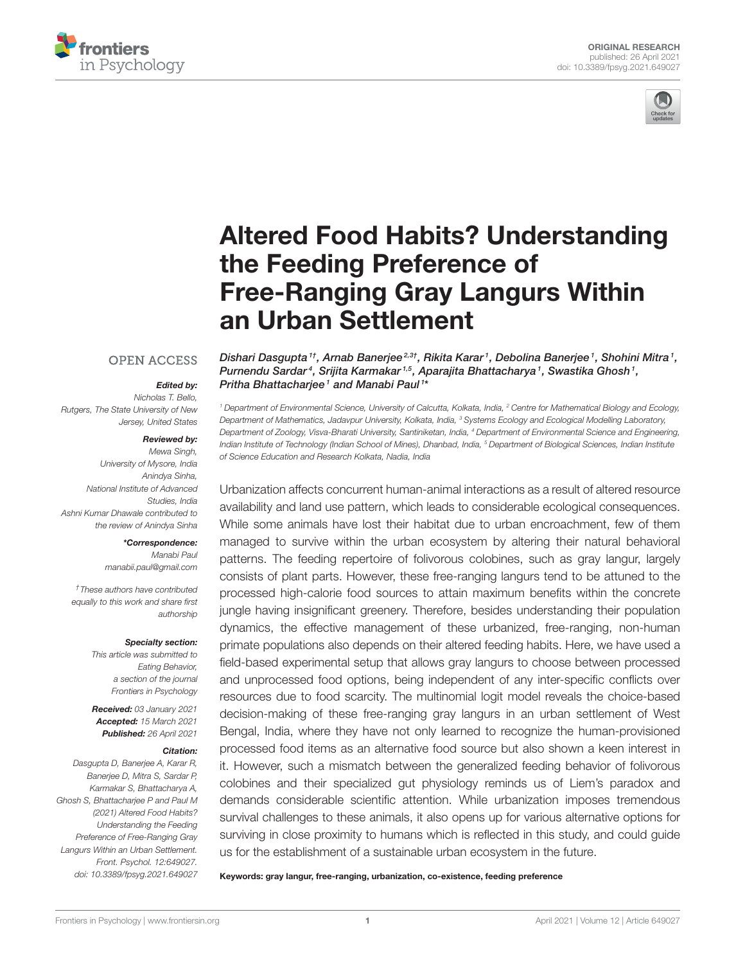



# Altered Food Habits? Understanding the Feeding Preference of Free-Ranging Gray Langurs Within an Urban Settlement

#### **OPEN ACCESS**

#### Edited by:

*Nicholas T. Bello, Rutgers, The State University of New Jersey, United States*

#### Reviewed by:

*Mewa Singh, University of Mysore, India Anindya Sinha, National Institute of Advanced Studies, India Ashni Kumar Dhawale contributed to the review of Anindya Sinha*

#### \*Correspondence:

*Manabi Paul manabii.paul@gmail.com*

*†These authors have contributed equally to this work and share first authorship*

#### Specialty section:

*This article was submitted to Eating Behavior, a section of the journal Frontiers in Psychology*

Received: *03 January 2021* Accepted: *15 March 2021* Published: *26 April 2021*

#### Citation:

*Dasgupta D, Banerjee A, Karar R, Banerjee D, Mitra S, Sardar P, Karmakar S, Bhattacharya A, Ghosh S, Bhattacharjee P and Paul M (2021) Altered Food Habits? Understanding the Feeding Preference of Free-Ranging Gray Langurs Within an Urban Settlement. Front. Psychol. 12:649027. doi: 10.3389/fpsyg.2021.649027* Dishari Dasgupta <sup>1†</sup>, Arnab Banerjee<sup>2,3†</sup>, Rikita Karar <sup>1</sup>, Debolina Banerjee <sup>1</sup>, Shohini Mitra <sup>1</sup>, Purnendu Sardar<sup>4</sup>, Srijita Karmakar<sup>1,5</sup>, Aparajita Bhattacharya<sup>1</sup>, Swastika Ghosh<sup>1</sup>, Pritha Bhattacharjee1 and Manabi Paul1\*

*<sup>1</sup> Department of Environmental Science, University of Calcutta, Kolkata, India, <sup>2</sup> Centre for Mathematical Biology and Ecology, Department of Mathematics, Jadavpur University, Kolkata, India, <sup>3</sup> Systems Ecology and Ecological Modelling Laboratory, Department of Zoology, Visva-Bharati University, Santiniketan, India, <sup>4</sup> Department of Environmental Science and Engineering, Indian Institute of Technology (Indian School of Mines), Dhanbad, India, <sup>5</sup> Department of Biological Sciences, Indian Institute of Science Education and Research Kolkata, Nadia, India*

Urbanization affects concurrent human-animal interactions as a result of altered resource availability and land use pattern, which leads to considerable ecological consequences. While some animals have lost their habitat due to urban encroachment, few of them managed to survive within the urban ecosystem by altering their natural behavioral patterns. The feeding repertoire of folivorous colobines, such as gray langur, largely consists of plant parts. However, these free-ranging langurs tend to be attuned to the processed high-calorie food sources to attain maximum benefits within the concrete jungle having insignificant greenery. Therefore, besides understanding their population dynamics, the effective management of these urbanized, free-ranging, non-human primate populations also depends on their altered feeding habits. Here, we have used a field-based experimental setup that allows gray langurs to choose between processed and unprocessed food options, being independent of any inter-specific conflicts over resources due to food scarcity. The multinomial logit model reveals the choice-based decision-making of these free-ranging gray langurs in an urban settlement of West Bengal, India, where they have not only learned to recognize the human-provisioned processed food items as an alternative food source but also shown a keen interest in it. However, such a mismatch between the generalized feeding behavior of folivorous colobines and their specialized gut physiology reminds us of Liem's paradox and demands considerable scientific attention. While urbanization imposes tremendous survival challenges to these animals, it also opens up for various alternative options for surviving in close proximity to humans which is reflected in this study, and could guide us for the establishment of a sustainable urban ecosystem in the future.

Keywords: gray langur, free-ranging, urbanization, co-existence, feeding preference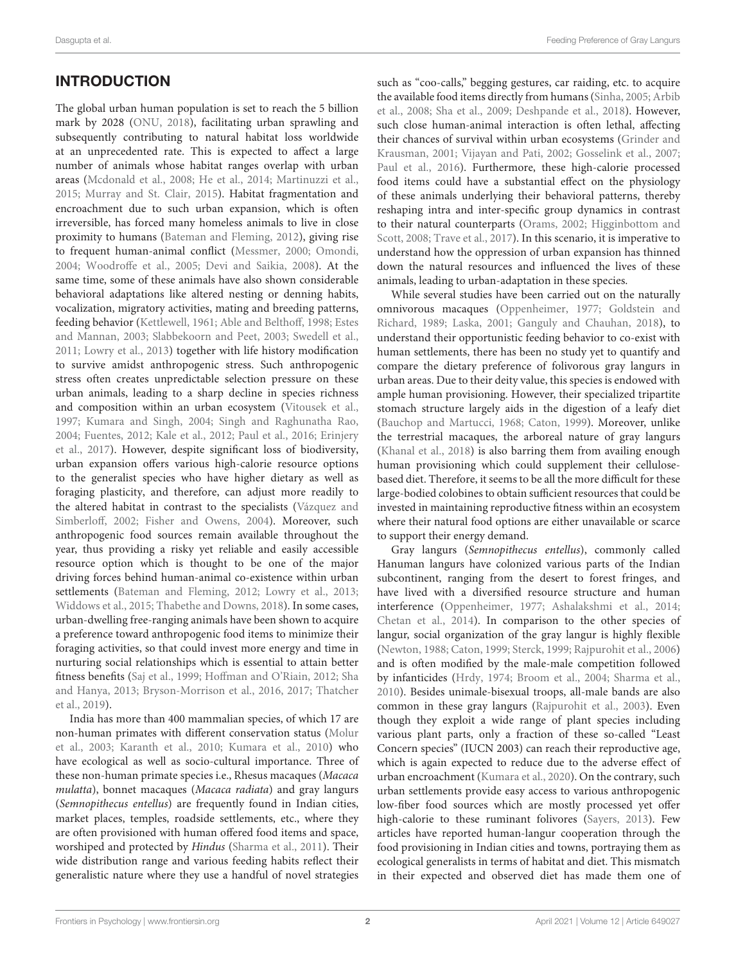# INTRODUCTION

The global urban human population is set to reach the 5 billion mark by 2028 (ONU, 2018), facilitating urban sprawling and subsequently contributing to natural habitat loss worldwide at an unprecedented rate. This is expected to affect a large number of animals whose habitat ranges overlap with urban areas (Mcdonald et al., 2008; He et al., 2014; Martinuzzi et al., 2015; Murray and St. Clair, 2015). Habitat fragmentation and encroachment due to such urban expansion, which is often irreversible, has forced many homeless animals to live in close proximity to humans (Bateman and Fleming, 2012), giving rise to frequent human-animal conflict (Messmer, 2000; Omondi, 2004; Woodroffe et al., 2005; Devi and Saikia, 2008). At the same time, some of these animals have also shown considerable behavioral adaptations like altered nesting or denning habits, vocalization, migratory activities, mating and breeding patterns, feeding behavior (Kettlewell, 1961; Able and Belthoff, 1998; Estes and Mannan, 2003; Slabbekoorn and Peet, 2003; Swedell et al., 2011; Lowry et al., 2013) together with life history modification to survive amidst anthropogenic stress. Such anthropogenic stress often creates unpredictable selection pressure on these urban animals, leading to a sharp decline in species richness and composition within an urban ecosystem (Vitousek et al., 1997; Kumara and Singh, 2004; Singh and Raghunatha Rao, 2004; Fuentes, 2012; Kale et al., 2012; Paul et al., 2016; Erinjery et al., 2017). However, despite significant loss of biodiversity, urban expansion offers various high-calorie resource options to the generalist species who have higher dietary as well as foraging plasticity, and therefore, can adjust more readily to the altered habitat in contrast to the specialists (Vázquez and Simberloff, 2002; Fisher and Owens, 2004). Moreover, such anthropogenic food sources remain available throughout the year, thus providing a risky yet reliable and easily accessible resource option which is thought to be one of the major driving forces behind human-animal co-existence within urban settlements (Bateman and Fleming, 2012; Lowry et al., 2013; Widdows et al., 2015; Thabethe and Downs, 2018). In some cases, urban-dwelling free-ranging animals have been shown to acquire a preference toward anthropogenic food items to minimize their foraging activities, so that could invest more energy and time in nurturing social relationships which is essential to attain better fitness benefits (Saj et al., 1999; Hoffman and O'Riain, 2012; Sha and Hanya, 2013; Bryson-Morrison et al., 2016, 2017; Thatcher et al., 2019).

India has more than 400 mammalian species, of which 17 are non-human primates with different conservation status (Molur et al., 2003; Karanth et al., 2010; Kumara et al., 2010) who have ecological as well as socio-cultural importance. Three of these non-human primate species i.e., Rhesus macaques (Macaca mulatta), bonnet macaques (Macaca radiata) and gray langurs (Semnopithecus entellus) are frequently found in Indian cities, market places, temples, roadside settlements, etc., where they are often provisioned with human offered food items and space, worshiped and protected by Hindus (Sharma et al., 2011). Their wide distribution range and various feeding habits reflect their generalistic nature where they use a handful of novel strategies such as "coo-calls," begging gestures, car raiding, etc. to acquire the available food items directly from humans (Sinha, 2005; Arbib et al., 2008; Sha et al., 2009; Deshpande et al., 2018). However, such close human-animal interaction is often lethal, affecting their chances of survival within urban ecosystems (Grinder and Krausman, 2001; Vijayan and Pati, 2002; Gosselink et al., 2007; Paul et al., 2016). Furthermore, these high-calorie processed food items could have a substantial effect on the physiology of these animals underlying their behavioral patterns, thereby reshaping intra and inter-specific group dynamics in contrast to their natural counterparts (Orams, 2002; Higginbottom and Scott, 2008; Trave et al., 2017). In this scenario, it is imperative to understand how the oppression of urban expansion has thinned down the natural resources and influenced the lives of these animals, leading to urban-adaptation in these species.

While several studies have been carried out on the naturally omnivorous macaques (Oppenheimer, 1977; Goldstein and Richard, 1989; Laska, 2001; Ganguly and Chauhan, 2018), to understand their opportunistic feeding behavior to co-exist with human settlements, there has been no study yet to quantify and compare the dietary preference of folivorous gray langurs in urban areas. Due to their deity value, this species is endowed with ample human provisioning. However, their specialized tripartite stomach structure largely aids in the digestion of a leafy diet (Bauchop and Martucci, 1968; Caton, 1999). Moreover, unlike the terrestrial macaques, the arboreal nature of gray langurs (Khanal et al., 2018) is also barring them from availing enough human provisioning which could supplement their cellulosebased diet. Therefore, it seems to be all the more difficult for these large-bodied colobines to obtain sufficient resources that could be invested in maintaining reproductive fitness within an ecosystem where their natural food options are either unavailable or scarce to support their energy demand.

Gray langurs (Semnopithecus entellus), commonly called Hanuman langurs have colonized various parts of the Indian subcontinent, ranging from the desert to forest fringes, and have lived with a diversified resource structure and human interference (Oppenheimer, 1977; Ashalakshmi et al., 2014; Chetan et al., 2014). In comparison to the other species of langur, social organization of the gray langur is highly flexible (Newton, 1988; Caton, 1999; Sterck, 1999; Rajpurohit et al., 2006) and is often modified by the male-male competition followed by infanticides (Hrdy, 1974; Broom et al., 2004; Sharma et al., 2010). Besides unimale-bisexual troops, all-male bands are also common in these gray langurs (Rajpurohit et al., 2003). Even though they exploit a wide range of plant species including various plant parts, only a fraction of these so-called "Least Concern species" (IUCN 2003) can reach their reproductive age, which is again expected to reduce due to the adverse effect of urban encroachment (Kumara et al., 2020). On the contrary, such urban settlements provide easy access to various anthropogenic low-fiber food sources which are mostly processed yet offer high-calorie to these ruminant folivores (Sayers, 2013). Few articles have reported human-langur cooperation through the food provisioning in Indian cities and towns, portraying them as ecological generalists in terms of habitat and diet. This mismatch in their expected and observed diet has made them one of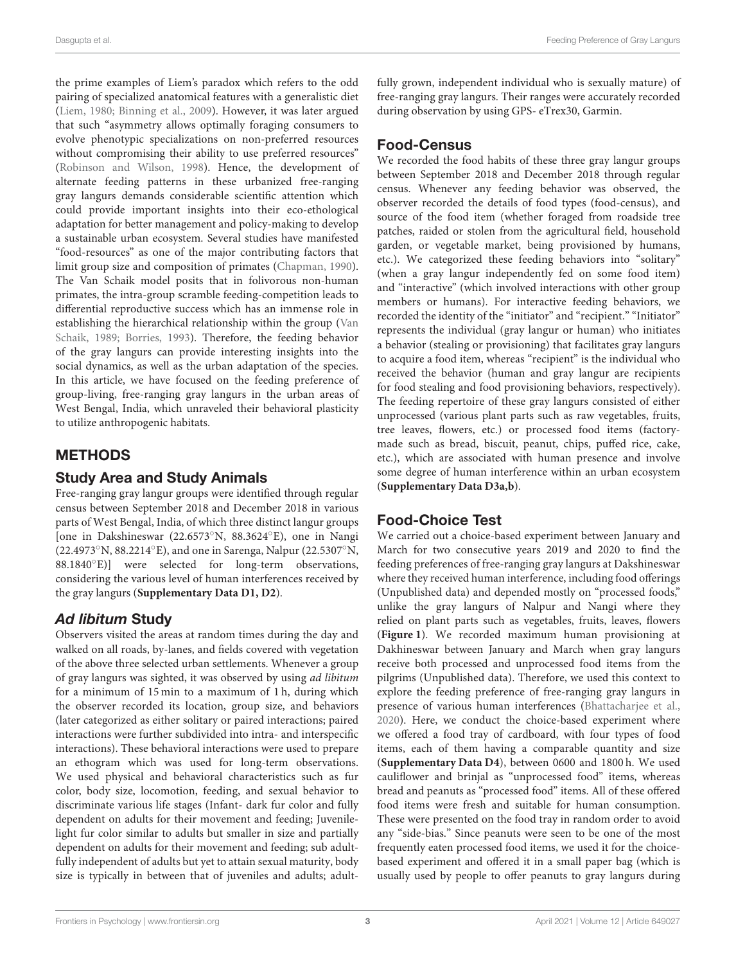the prime examples of Liem's paradox which refers to the odd pairing of specialized anatomical features with a generalistic diet (Liem, 1980; Binning et al., 2009). However, it was later argued that such "asymmetry allows optimally foraging consumers to evolve phenotypic specializations on non-preferred resources without compromising their ability to use preferred resources" (Robinson and Wilson, 1998). Hence, the development of alternate feeding patterns in these urbanized free-ranging gray langurs demands considerable scientific attention which could provide important insights into their eco-ethological adaptation for better management and policy-making to develop a sustainable urban ecosystem. Several studies have manifested "food-resources" as one of the major contributing factors that limit group size and composition of primates (Chapman, 1990). The Van Schaik model posits that in folivorous non-human primates, the intra-group scramble feeding-competition leads to differential reproductive success which has an immense role in establishing the hierarchical relationship within the group (Van Schaik, 1989; Borries, 1993). Therefore, the feeding behavior of the gray langurs can provide interesting insights into the social dynamics, as well as the urban adaptation of the species. In this article, we have focused on the feeding preference of group-living, free-ranging gray langurs in the urban areas of West Bengal, India, which unraveled their behavioral plasticity to utilize anthropogenic habitats.

# METHODS

### Study Area and Study Animals

Free-ranging gray langur groups were identified through regular census between September 2018 and December 2018 in various parts of West Bengal, India, of which three distinct langur groups [one in Dakshineswar (22.6573◦N, 88.3624◦E), one in Nangi (22.4973◦N, 88.2214◦E), and one in Sarenga, Nalpur (22.5307◦N, 88.1840°E)] were selected for long-term observations, considering the various level of human interferences received by the gray langurs (**Supplementary Data D1, D2**).

# Ad libitum Study

Observers visited the areas at random times during the day and walked on all roads, by-lanes, and fields covered with vegetation of the above three selected urban settlements. Whenever a group of gray langurs was sighted, it was observed by using ad libitum for a minimum of 15 min to a maximum of 1 h, during which the observer recorded its location, group size, and behaviors (later categorized as either solitary or paired interactions; paired interactions were further subdivided into intra- and interspecific interactions). These behavioral interactions were used to prepare an ethogram which was used for long-term observations. We used physical and behavioral characteristics such as fur color, body size, locomotion, feeding, and sexual behavior to discriminate various life stages (Infant- dark fur color and fully dependent on adults for their movement and feeding; Juvenilelight fur color similar to adults but smaller in size and partially dependent on adults for their movement and feeding; sub adultfully independent of adults but yet to attain sexual maturity, body size is typically in between that of juveniles and adults; adultfully grown, independent individual who is sexually mature) of free-ranging gray langurs. Their ranges were accurately recorded during observation by using GPS- eTrex30, Garmin.

### Food-Census

We recorded the food habits of these three gray langur groups between September 2018 and December 2018 through regular census. Whenever any feeding behavior was observed, the observer recorded the details of food types (food-census), and source of the food item (whether foraged from roadside tree patches, raided or stolen from the agricultural field, household garden, or vegetable market, being provisioned by humans, etc.). We categorized these feeding behaviors into "solitary" (when a gray langur independently fed on some food item) and "interactive" (which involved interactions with other group members or humans). For interactive feeding behaviors, we recorded the identity of the "initiator" and "recipient." "Initiator" represents the individual (gray langur or human) who initiates a behavior (stealing or provisioning) that facilitates gray langurs to acquire a food item, whereas "recipient" is the individual who received the behavior (human and gray langur are recipients for food stealing and food provisioning behaviors, respectively). The feeding repertoire of these gray langurs consisted of either unprocessed (various plant parts such as raw vegetables, fruits, tree leaves, flowers, etc.) or processed food items (factorymade such as bread, biscuit, peanut, chips, puffed rice, cake, etc.), which are associated with human presence and involve some degree of human interference within an urban ecosystem (**Supplementary Data D3a,b**).

# Food-Choice Test

We carried out a choice-based experiment between January and March for two consecutive years 2019 and 2020 to find the feeding preferences of free-ranging gray langurs at Dakshineswar where they received human interference, including food offerings (Unpublished data) and depended mostly on "processed foods," unlike the gray langurs of Nalpur and Nangi where they relied on plant parts such as vegetables, fruits, leaves, flowers (**Figure 1**). We recorded maximum human provisioning at Dakhineswar between January and March when gray langurs receive both processed and unprocessed food items from the pilgrims (Unpublished data). Therefore, we used this context to explore the feeding preference of free-ranging gray langurs in presence of various human interferences (Bhattacharjee et al., 2020). Here, we conduct the choice-based experiment where we offered a food tray of cardboard, with four types of food items, each of them having a comparable quantity and size (**Supplementary Data D4**), between 0600 and 1800 h. We used cauliflower and brinjal as "unprocessed food" items, whereas bread and peanuts as "processed food" items. All of these offered food items were fresh and suitable for human consumption. These were presented on the food tray in random order to avoid any "side-bias." Since peanuts were seen to be one of the most frequently eaten processed food items, we used it for the choicebased experiment and offered it in a small paper bag (which is usually used by people to offer peanuts to gray langurs during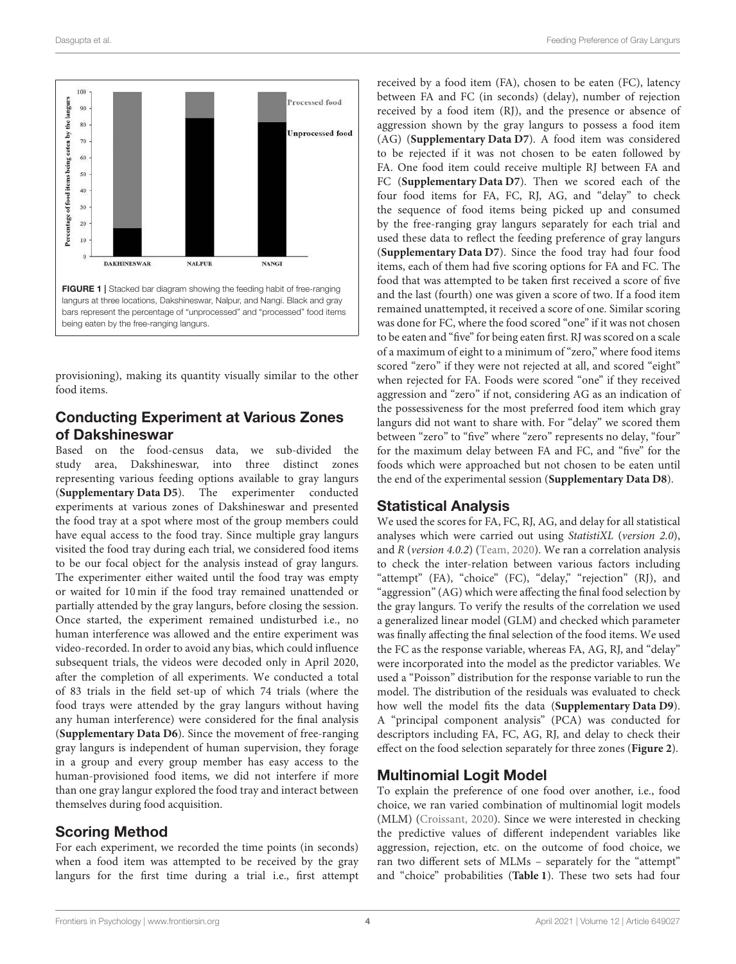

provisioning), making its quantity visually similar to the other food items.

# Conducting Experiment at Various Zones of Dakshineswar

Based on the food-census data, we sub-divided the study area, Dakshineswar, into three distinct zones representing various feeding options available to gray langurs (**Supplementary Data D5**). The experimenter conducted experiments at various zones of Dakshineswar and presented the food tray at a spot where most of the group members could have equal access to the food tray. Since multiple gray langurs visited the food tray during each trial, we considered food items to be our focal object for the analysis instead of gray langurs. The experimenter either waited until the food tray was empty or waited for 10 min if the food tray remained unattended or partially attended by the gray langurs, before closing the session. Once started, the experiment remained undisturbed i.e., no human interference was allowed and the entire experiment was video-recorded. In order to avoid any bias, which could influence subsequent trials, the videos were decoded only in April 2020, after the completion of all experiments. We conducted a total of 83 trials in the field set-up of which 74 trials (where the food trays were attended by the gray langurs without having any human interference) were considered for the final analysis (**Supplementary Data D6**). Since the movement of free-ranging gray langurs is independent of human supervision, they forage in a group and every group member has easy access to the human-provisioned food items, we did not interfere if more than one gray langur explored the food tray and interact between themselves during food acquisition.

# Scoring Method

For each experiment, we recorded the time points (in seconds) when a food item was attempted to be received by the gray langurs for the first time during a trial i.e., first attempt

received by a food item (FA), chosen to be eaten (FC), latency between FA and FC (in seconds) (delay), number of rejection received by a food item (RJ), and the presence or absence of aggression shown by the gray langurs to possess a food item (AG) (**Supplementary Data D7**). A food item was considered to be rejected if it was not chosen to be eaten followed by FA. One food item could receive multiple RJ between FA and FC (**Supplementary Data D7**). Then we scored each of the four food items for FA, FC, RJ, AG, and "delay" to check the sequence of food items being picked up and consumed by the free-ranging gray langurs separately for each trial and used these data to reflect the feeding preference of gray langurs (**Supplementary Data D7**). Since the food tray had four food items, each of them had five scoring options for FA and FC. The food that was attempted to be taken first received a score of five and the last (fourth) one was given a score of two. If a food item remained unattempted, it received a score of one. Similar scoring was done for FC, where the food scored "one" if it was not chosen to be eaten and "five" for being eaten first. RJ was scored on a scale of a maximum of eight to a minimum of "zero," where food items scored "zero" if they were not rejected at all, and scored "eight" when rejected for FA. Foods were scored "one" if they received aggression and "zero" if not, considering AG as an indication of the possessiveness for the most preferred food item which gray langurs did not want to share with. For "delay" we scored them between "zero" to "five" where "zero" represents no delay, "four" for the maximum delay between FA and FC, and "five" for the foods which were approached but not chosen to be eaten until the end of the experimental session (**Supplementary Data D8**).

# Statistical Analysis

We used the scores for FA, FC, RJ, AG, and delay for all statistical analyses which were carried out using StatistiXL (version 2.0), and R (version 4.0.2) (Team, 2020). We ran a correlation analysis to check the inter-relation between various factors including "attempt" (FA), "choice" (FC), "delay," "rejection" (RJ), and "aggression" (AG) which were affecting the final food selection by the gray langurs. To verify the results of the correlation we used a generalized linear model (GLM) and checked which parameter was finally affecting the final selection of the food items. We used the FC as the response variable, whereas FA, AG, RJ, and "delay" were incorporated into the model as the predictor variables. We used a "Poisson" distribution for the response variable to run the model. The distribution of the residuals was evaluated to check how well the model fits the data (**Supplementary Data D9**). A "principal component analysis" (PCA) was conducted for descriptors including FA, FC, AG, RJ, and delay to check their effect on the food selection separately for three zones (**Figure 2**).

# Multinomial Logit Model

To explain the preference of one food over another, i.e., food choice, we ran varied combination of multinomial logit models (MLM) (Croissant, 2020). Since we were interested in checking the predictive values of different independent variables like aggression, rejection, etc. on the outcome of food choice, we ran two different sets of MLMs – separately for the "attempt" and "choice" probabilities (**Table 1**). These two sets had four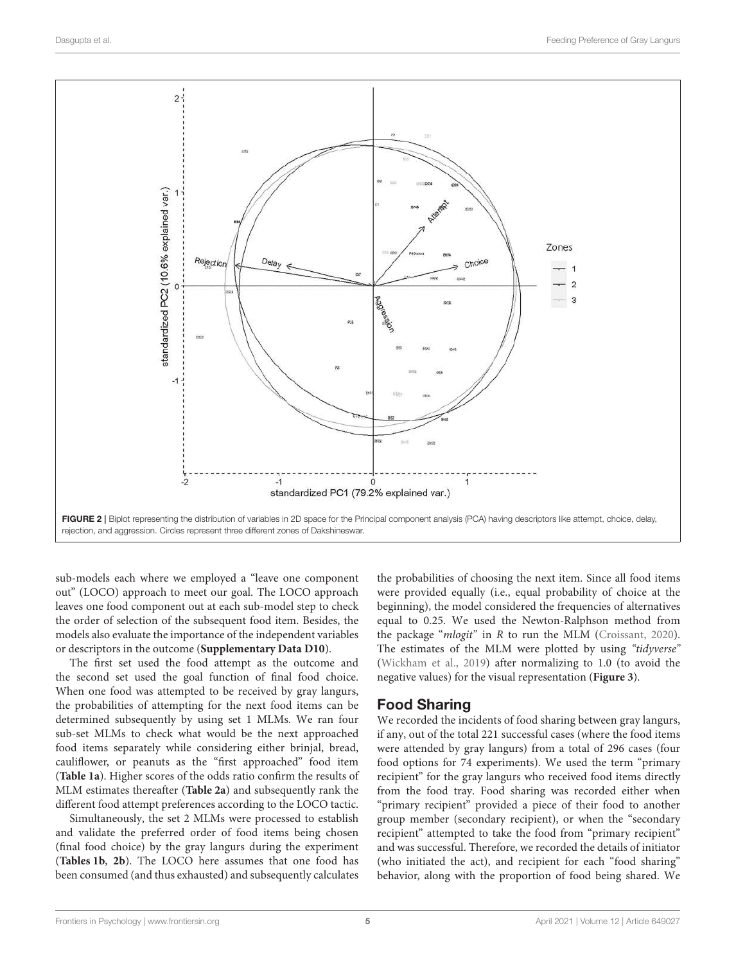

sub-models each where we employed a "leave one component out" (LOCO) approach to meet our goal. The LOCO approach leaves one food component out at each sub-model step to check the order of selection of the subsequent food item. Besides, the models also evaluate the importance of the independent variables or descriptors in the outcome (**Supplementary Data D10**).

The first set used the food attempt as the outcome and the second set used the goal function of final food choice. When one food was attempted to be received by gray langurs, the probabilities of attempting for the next food items can be determined subsequently by using set 1 MLMs. We ran four sub-set MLMs to check what would be the next approached food items separately while considering either brinjal, bread, cauliflower, or peanuts as the "first approached" food item (**Table 1a**). Higher scores of the odds ratio confirm the results of MLM estimates thereafter (**Table 2a**) and subsequently rank the different food attempt preferences according to the LOCO tactic.

Simultaneously, the set 2 MLMs were processed to establish and validate the preferred order of food items being chosen (final food choice) by the gray langurs during the experiment (**Tables 1b**, **2b**). The LOCO here assumes that one food has been consumed (and thus exhausted) and subsequently calculates the probabilities of choosing the next item. Since all food items were provided equally (i.e., equal probability of choice at the beginning), the model considered the frequencies of alternatives equal to 0.25. We used the Newton-Ralphson method from the package "mlogit" in R to run the MLM (Croissant, 2020). The estimates of the MLM were plotted by using "tidyverse" (Wickham et al., 2019) after normalizing to 1.0 (to avoid the negative values) for the visual representation (**Figure 3**).

#### Food Sharing

We recorded the incidents of food sharing between gray langurs, if any, out of the total 221 successful cases (where the food items were attended by gray langurs) from a total of 296 cases (four food options for 74 experiments). We used the term "primary recipient" for the gray langurs who received food items directly from the food tray. Food sharing was recorded either when "primary recipient" provided a piece of their food to another group member (secondary recipient), or when the "secondary recipient" attempted to take the food from "primary recipient" and was successful. Therefore, we recorded the details of initiator (who initiated the act), and recipient for each "food sharing" behavior, along with the proportion of food being shared. We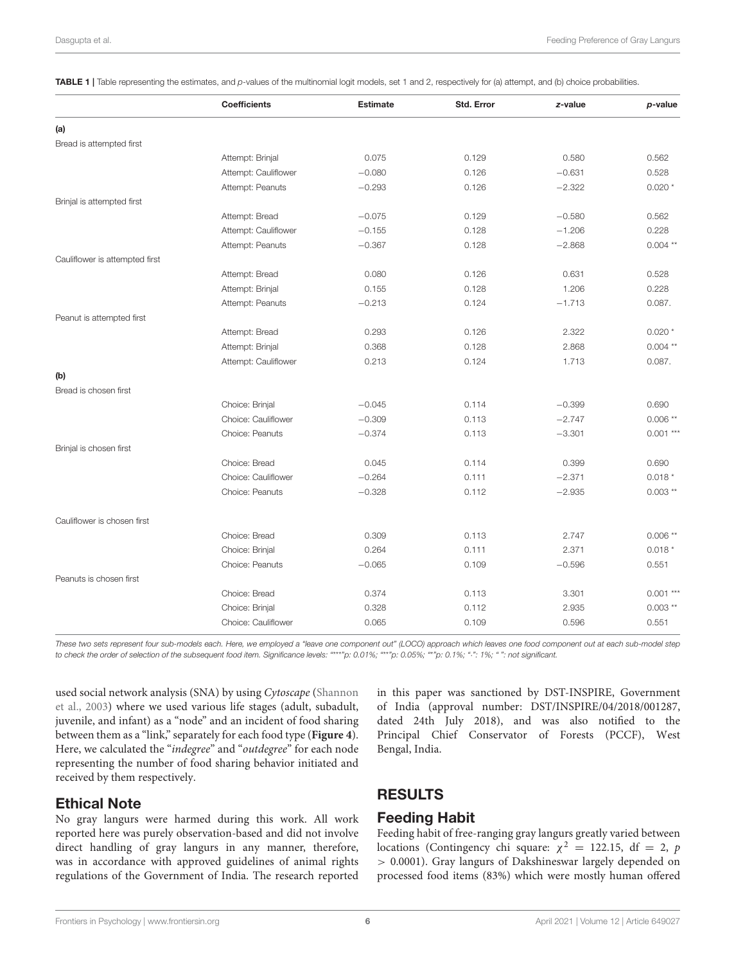|                                | <b>Coefficients</b>  | <b>Estimate</b> | Std. Error | z-value  | p-value    |
|--------------------------------|----------------------|-----------------|------------|----------|------------|
| (a)                            |                      |                 |            |          |            |
| Bread is attempted first       |                      |                 |            |          |            |
|                                | Attempt: Brinjal     | 0.075           | 0.129      | 0.580    | 0.562      |
|                                | Attempt: Cauliflower | $-0.080$        | 0.126      | $-0.631$ | 0.528      |
|                                | Attempt: Peanuts     | $-0.293$        | 0.126      | $-2.322$ | $0.020*$   |
| Brinjal is attempted first     |                      |                 |            |          |            |
|                                | Attempt: Bread       | $-0.075$        | 0.129      | $-0.580$ | 0.562      |
|                                | Attempt: Cauliflower | $-0.155$        | 0.128      | $-1.206$ | 0.228      |
|                                | Attempt: Peanuts     | $-0.367$        | 0.128      | $-2.868$ | $0.004$ ** |
| Cauliflower is attempted first |                      |                 |            |          |            |
|                                | Attempt: Bread       | 0.080           | 0.126      | 0.631    | 0.528      |
|                                | Attempt: Brinjal     | 0.155           | 0.128      | 1.206    | 0.228      |
|                                | Attempt: Peanuts     | $-0.213$        | 0.124      | $-1.713$ | 0.087.     |
| Peanut is attempted first      |                      |                 |            |          |            |
|                                | Attempt: Bread       | 0.293           | 0.126      | 2.322    | $0.020*$   |
|                                | Attempt: Brinjal     | 0.368           | 0.128      | 2.868    | $0.004$ ** |
|                                | Attempt: Cauliflower | 0.213           | 0.124      | 1.713    | 0.087.     |
| (b)                            |                      |                 |            |          |            |
| Bread is chosen first          |                      |                 |            |          |            |
|                                | Choice: Brinjal      | $-0.045$        | 0.114      | $-0.399$ | 0.690      |
|                                | Choice: Cauliflower  | $-0.309$        | 0.113      | $-2.747$ | $0.006**$  |
|                                | Choice: Peanuts      | $-0.374$        | 0.113      | $-3.301$ | $0.001***$ |
| Brinjal is chosen first        |                      |                 |            |          |            |
|                                | Choice: Bread        | 0.045           | 0.114      | 0.399    | 0.690      |
|                                | Choice: Cauliflower  | $-0.264$        | 0.111      | $-2.371$ | $0.018*$   |
|                                | Choice: Peanuts      | $-0.328$        | 0.112      | $-2.935$ | $0.003**$  |
| Cauliflower is chosen first    |                      |                 |            |          |            |
|                                | Choice: Bread        | 0.309           | 0.113      | 2.747    | $0.006**$  |
|                                | Choice: Brinjal      | 0.264           | 0.111      | 2.371    | $0.018*$   |
|                                | Choice: Peanuts      | $-0.065$        | 0.109      | $-0.596$ | 0.551      |
| Peanuts is chosen first        |                      |                 |            |          |            |
|                                | Choice: Bread        | 0.374           | 0.113      | 3.301    | $0.001***$ |
|                                | Choice: Brinjal      | 0.328           | 0.112      | 2.935    | $0.003**$  |
|                                | Choice: Cauliflower  | 0.065           | 0.109      | 0.596    | 0.551      |

TABLE 1 | Table representing the estimates, and *p*-values of the multinomial logit models, set 1 and 2, respectively for (a) attempt, and (b) choice probabilities.

*These two sets represent four sub-models each. Here, we employed a "leave one component out" (LOCO) approach which leaves one food component out at each sub-model step to check the order of selection of the subsequent food item. Significance levels: "*\*\*\**"p: 0.01%; "*\*\**"p: 0.05%; "*\**"p: 0.1%; "*·*": 1%; " ": not significant.*

used social network analysis (SNA) by using Cytoscape (Shannon et al., 2003) where we used various life stages (adult, subadult, juvenile, and infant) as a "node" and an incident of food sharing between them as a "link," separately for each food type (**Figure 4**). Here, we calculated the "indegree" and "outdegree" for each node representing the number of food sharing behavior initiated and received by them respectively.

#### Ethical Note

No gray langurs were harmed during this work. All work reported here was purely observation-based and did not involve direct handling of gray langurs in any manner, therefore, was in accordance with approved guidelines of animal rights regulations of the Government of India. The research reported in this paper was sanctioned by DST-INSPIRE, Government of India (approval number: DST/INSPIRE/04/2018/001287, dated 24th July 2018), and was also notified to the Principal Chief Conservator of Forests (PCCF), West Bengal, India.

# RESULTS

#### Feeding Habit

Feeding habit of free-ranging gray langurs greatly varied between locations (Contingency chi square:  $\chi^2 = 122.15$ , df = 2, p > 0.0001). Gray langurs of Dakshineswar largely depended on processed food items (83%) which were mostly human offered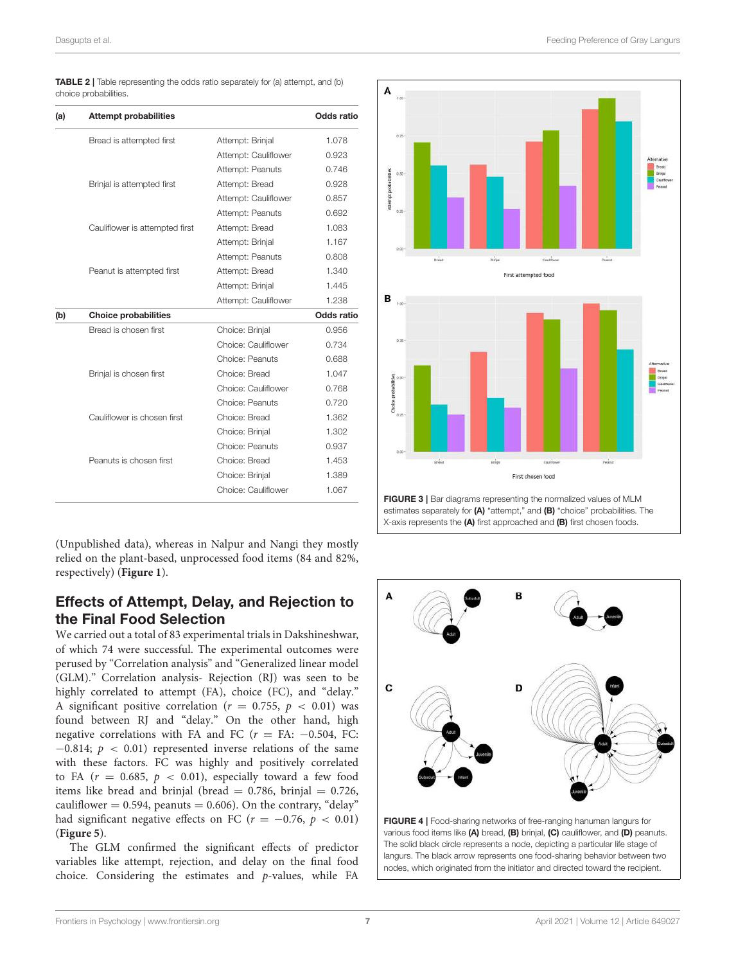| <b>TABLE 2</b>   Table representing the odds ratio separately for (a) attempt, and (b) |  |
|----------------------------------------------------------------------------------------|--|
| choice probabilities.                                                                  |  |

| (a) | <b>Attempt probabilities</b>   |                      | Odds ratio |
|-----|--------------------------------|----------------------|------------|
|     | Bread is attempted first       | Attempt: Brinjal     | 1.078      |
|     |                                | Attempt: Cauliflower | 0.923      |
|     |                                | Attempt: Peanuts     | 0.746      |
|     | Brinjal is attempted first     | Attempt: Bread       | 0.928      |
|     |                                | Attempt: Cauliflower | 0.857      |
|     |                                | Attempt: Peanuts     | 0.692      |
|     | Cauliflower is attempted first | Attempt: Bread       | 1.083      |
|     |                                | Attempt: Brinjal     | 1.167      |
|     |                                | Attempt: Peanuts     | 0.808      |
|     | Peanut is attempted first      | Attempt: Bread       | 1.340      |
|     |                                | Attempt: Brinjal     | 1.445      |
|     |                                | Attempt: Cauliflower | 1.238      |
| (b) | <b>Choice probabilities</b>    |                      | Odds ratio |
|     | Bread is chosen first          | Choice: Brinjal      | 0.956      |
|     |                                | Choice: Cauliflower  | 0.734      |
|     |                                | Choice: Peanuts      | 0.688      |
|     | Brinjal is chosen first        | Choice: Bread        | 1.047      |
|     |                                | Choice: Cauliflower  | 0.768      |
|     |                                | Choice: Peanuts      | 0.720      |
|     | Cauliflower is chosen first    | Choice: Bread        | 1.362      |
|     |                                | Choice: Brinjal      | 1.302      |
|     |                                | Choice: Peanuts      | 0.937      |
|     | Peanuts is chosen first        | Choice: Bread        | 1.453      |
|     |                                | Choice: Brinjal      | 1.389      |
|     |                                | Choice: Cauliflower  | 1.067      |

(Unpublished data), whereas in Nalpur and Nangi they mostly relied on the plant-based, unprocessed food items (84 and 82%, respectively) (**Figure 1**).

### Effects of Attempt, Delay, and Rejection to the Final Food Selection

We carried out a total of 83 experimental trials in Dakshineshwar, of which 74 were successful. The experimental outcomes were perused by "Correlation analysis" and "Generalized linear model (GLM)." Correlation analysis- Rejection (RJ) was seen to be highly correlated to attempt (FA), choice (FC), and "delay." A significant positive correlation ( $r = 0.755$ ,  $p < 0.01$ ) was found between RJ and "delay." On the other hand, high negative correlations with FA and FC ( $r = \text{FA: } -0.504$ , FC:  $-0.814$ ;  $p < 0.01$ ) represented inverse relations of the same with these factors. FC was highly and positively correlated to FA  $(r = 0.685, p < 0.01)$ , especially toward a few food items like bread and brinjal (bread  $= 0.786$ , brinjal  $= 0.726$ , cauliflower  $= 0.594$ , peanuts  $= 0.606$ ). On the contrary, "delay" had significant negative effects on FC ( $r = -0.76$ ,  $p < 0.01$ ) (**Figure 5**).

The GLM confirmed the significant effects of predictor variables like attempt, rejection, and delay on the final food choice. Considering the estimates and p-values, while FA



estimates separately for (A) "attempt," and (B) "choice" probabilities. The X-axis represents the (A) first approached and (B) first chosen foods.

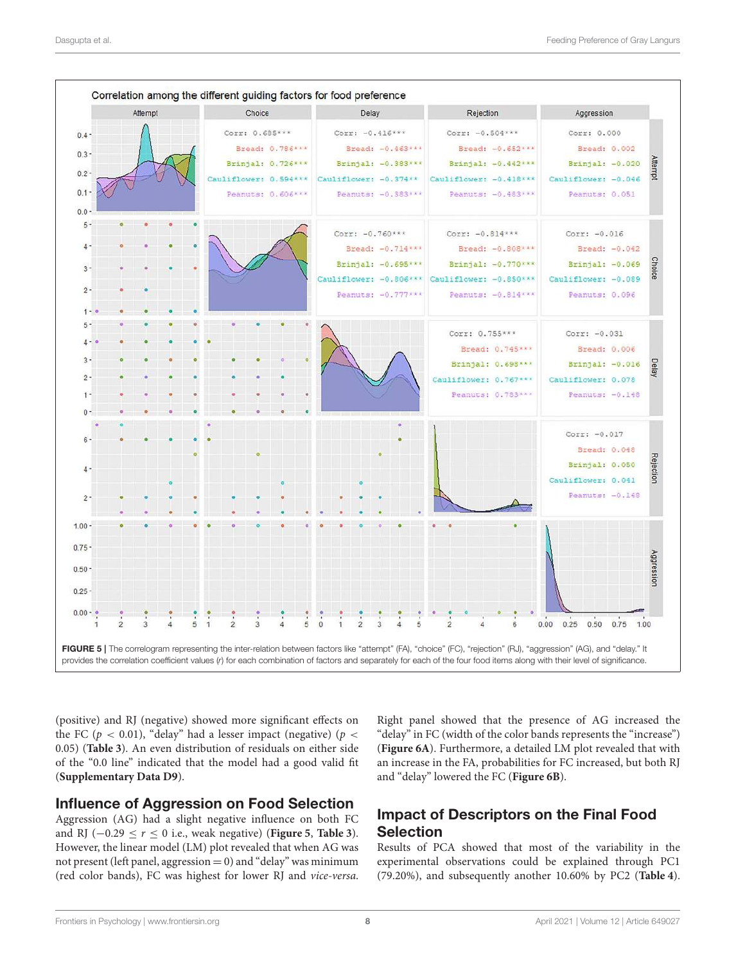

the FC ( $p < 0.01$ ), "delay" had a lesser impact (negative) ( $p <$ 0.05) (**Table 3**). An even distribution of residuals on either side of the "0.0 line" indicated that the model had a good valid fit (**Supplementary Data D9**).

(positive) and RJ (negative) showed more significant effects on

#### Influence of Aggression on Food Selection

Aggression (AG) had a slight negative influence on both FC and RJ (−0.29 ≤ r ≤ 0 i.e., weak negative) (**Figure 5**, **Table 3**). However, the linear model (LM) plot revealed that when AG was not present (left panel, aggression  $= 0$ ) and "delay" was minimum (red color bands), FC was highest for lower RJ and vice-versa. Right panel showed that the presence of AG increased the "delay" in FC (width of the color bands represents the "increase") (**Figure 6A**). Furthermore, a detailed LM plot revealed that with an increase in the FA, probabilities for FC increased, but both RJ and "delay" lowered the FC (**Figure 6B**).

# Impact of Descriptors on the Final Food Selection

Results of PCA showed that most of the variability in the experimental observations could be explained through PC1 (79.20%), and subsequently another 10.60% by PC2 (**Table 4**).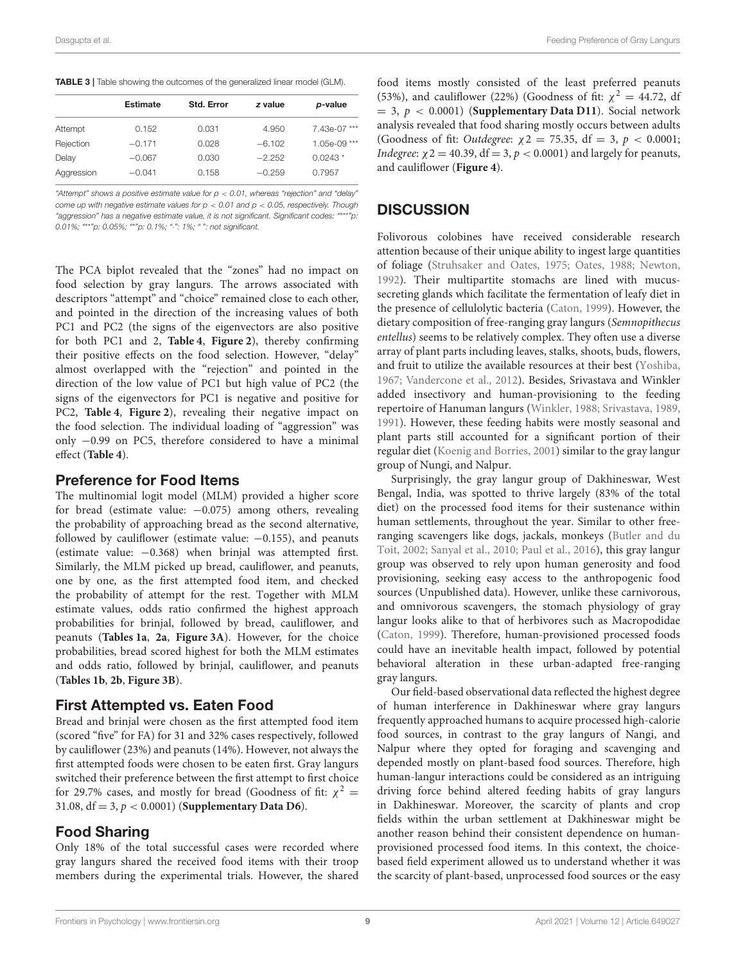|            | <b>Estimate</b> | <b>Std. Error</b> | z value  | p-value      |
|------------|-----------------|-------------------|----------|--------------|
| Attempt    | 0.152           | 0.031             | 4.950    | 7.43e-07***  |
| Rejection  | $-0.171$        | 0.028             | $-6.102$ | 1.05e-09 *** |
| Delay      | $-0.067$        | 0.030             | $-2.252$ | $0.0243*$    |
| Aggression | $-0.041$        | 0.158             | $-0.259$ | 0.7957       |

*"Attempt" shows a positive estimate value for p* < *0.01, whereas "rejection" and "delay" come up with negative estimate values for p* < *0.01 and p* < *0.05, respectively. Though "aggression" has a negative estimate value, it is not significant. Significant codes: "*\*\*\**"p: 0.01%; "*\*\**"p: 0.05%; "*\**"p: 0.1%; "*·*": 1%; " ": not significant.*

The PCA biplot revealed that the "zones" had no impact on food selection by gray langurs. The arrows associated with descriptors "attempt" and "choice" remained close to each other, and pointed in the direction of the increasing values of both PC1 and PC2 (the signs of the eigenvectors are also positive for both PC1 and 2, **Table 4**, **Figure 2**), thereby confirming their positive effects on the food selection. However, "delay" almost overlapped with the "rejection" and pointed in the direction of the low value of PC1 but high value of PC2 (the signs of the eigenvectors for PC1 is negative and positive for PC2, **Table 4**, **Figure 2**), revealing their negative impact on the food selection. The individual loading of "aggression" was only −0.99 on PC5, therefore considered to have a minimal effect (**Table 4**).

#### Preference for Food Items

The multinomial logit model (MLM) provided a higher score for bread (estimate value: −0.075) among others, revealing the probability of approaching bread as the second alternative, followed by cauliflower (estimate value:  $-0.155$ ), and peanuts (estimate value: −0.368) when brinjal was attempted first. Similarly, the MLM picked up bread, cauliflower, and peanuts, one by one, as the first attempted food item, and checked the probability of attempt for the rest. Together with MLM estimate values, odds ratio confirmed the highest approach probabilities for brinjal, followed by bread, cauliflower, and peanuts (**Tables 1a**, **2a**, **Figure 3A**). However, for the choice probabilities, bread scored highest for both the MLM estimates and odds ratio, followed by brinjal, cauliflower, and peanuts (**Tables 1b**, **2b**, **Figure 3B**).

#### First Attempted vs. Eaten Food

Bread and brinjal were chosen as the first attempted food item (scored "five" for FA) for 31 and 32% cases respectively, followed by cauliflower (23%) and peanuts (14%). However, not always the first attempted foods were chosen to be eaten first. Gray langurs switched their preference between the first attempt to first choice for 29.7% cases, and mostly for bread (Goodness of fit:  $\chi^2 =$ 31.08, df = 3, p < 0.0001) (**Supplementary Data D6**).

#### Food Sharing

Only 18% of the total successful cases were recorded where gray langurs shared the received food items with their troop members during the experimental trials. However, the shared food items mostly consisted of the least preferred peanuts (53%), and cauliflower (22%) (Goodness of fit:  $\chi^2 = 44.72$ , df  $= 3$ ,  $p < 0.0001$ ) (**Supplementary Data D11**). Social network analysis revealed that food sharing mostly occurs between adults (Goodness of fit: *Outdegree*:  $\chi$ 2 = 75.35, df = 3, p < 0.0001; *Indegree:*  $\chi$  2 = 40.39, df = 3,  $p$  < 0.0001) and largely for peanuts, and cauliflower (**Figure 4**).

#### **DISCUSSION**

Folivorous colobines have received considerable research attention because of their unique ability to ingest large quantities of foliage (Struhsaker and Oates, 1975; Oates, 1988; Newton, 1992). Their multipartite stomachs are lined with mucussecreting glands which facilitate the fermentation of leafy diet in the presence of cellulolytic bacteria (Caton, 1999). However, the dietary composition of free-ranging gray langurs (Semnopithecus entellus) seems to be relatively complex. They often use a diverse array of plant parts including leaves, stalks, shoots, buds, flowers, and fruit to utilize the available resources at their best (Yoshiba, 1967; Vandercone et al., 2012). Besides, Srivastava and Winkler added insectivory and human-provisioning to the feeding repertoire of Hanuman langurs (Winkler, 1988; Srivastava, 1989, 1991). However, these feeding habits were mostly seasonal and plant parts still accounted for a significant portion of their regular diet (Koenig and Borries, 2001) similar to the gray langur group of Nungi, and Nalpur.

Surprisingly, the gray langur group of Dakhineswar, West Bengal, India, was spotted to thrive largely (83% of the total diet) on the processed food items for their sustenance within human settlements, throughout the year. Similar to other freeranging scavengers like dogs, jackals, monkeys (Butler and du Toit, 2002; Sanyal et al., 2010; Paul et al., 2016), this gray langur group was observed to rely upon human generosity and food provisioning, seeking easy access to the anthropogenic food sources (Unpublished data). However, unlike these carnivorous, and omnivorous scavengers, the stomach physiology of gray langur looks alike to that of herbivores such as Macropodidae (Caton, 1999). Therefore, human-provisioned processed foods could have an inevitable health impact, followed by potential behavioral alteration in these urban-adapted free-ranging gray langurs.

Our field-based observational data reflected the highest degree of human interference in Dakhineswar where gray langurs frequently approached humans to acquire processed high-calorie food sources, in contrast to the gray langurs of Nangi, and Nalpur where they opted for foraging and scavenging and depended mostly on plant-based food sources. Therefore, high human-langur interactions could be considered as an intriguing driving force behind altered feeding habits of gray langurs in Dakhineswar. Moreover, the scarcity of plants and crop fields within the urban settlement at Dakhineswar might be another reason behind their consistent dependence on humanprovisioned processed food items. In this context, the choicebased field experiment allowed us to understand whether it was the scarcity of plant-based, unprocessed food sources or the easy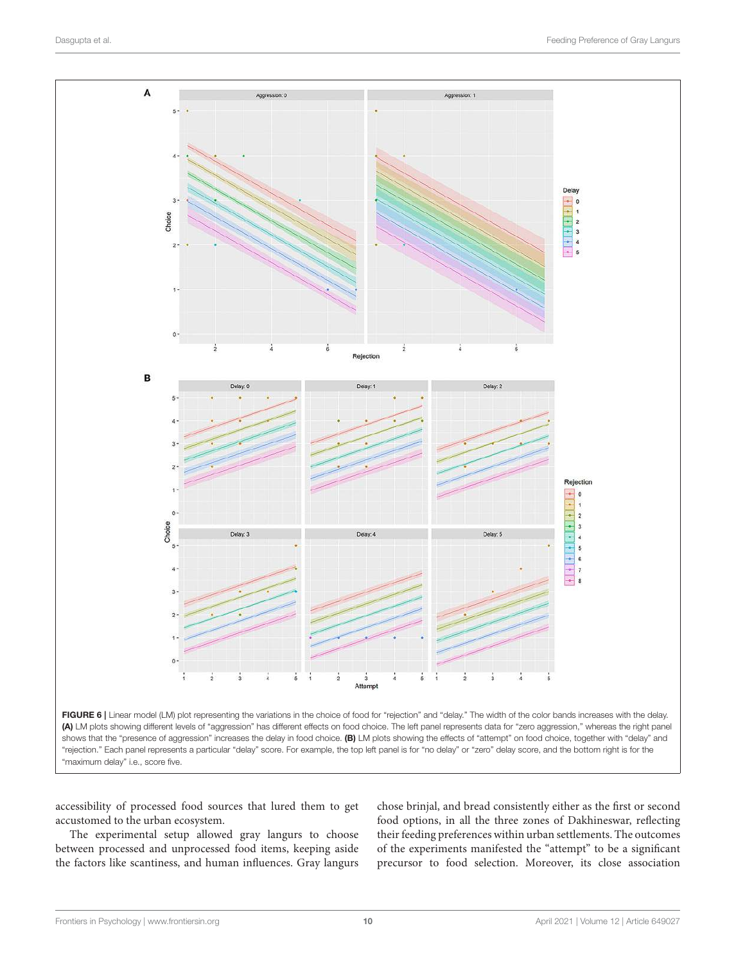



accessibility of processed food sources that lured them to get accustomed to the urban ecosystem.

The experimental setup allowed gray langurs to choose between processed and unprocessed food items, keeping aside the factors like scantiness, and human influences. Gray langurs chose brinjal, and bread consistently either as the first or second food options, in all the three zones of Dakhineswar, reflecting their feeding preferences within urban settlements. The outcomes of the experiments manifested the "attempt" to be a significant precursor to food selection. Moreover, its close association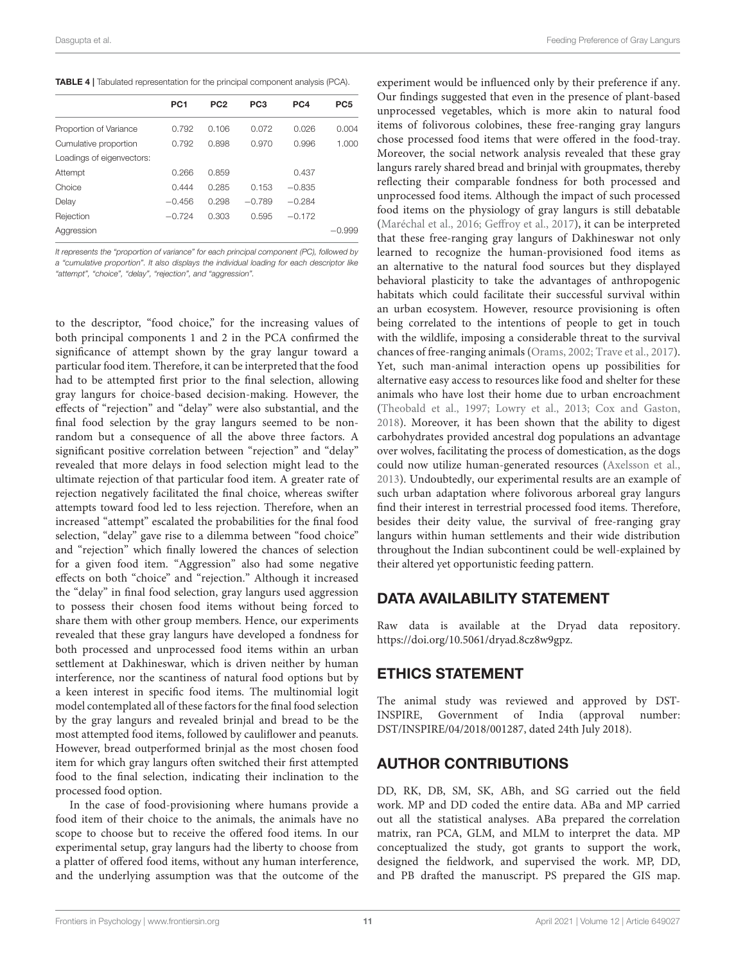TABLE 4 | Tabulated representation for the principal component analysis (PCA).

|                           | PC <sub>1</sub> | PC <sub>2</sub> | PC <sub>3</sub> | PC4      | PC <sub>5</sub> |
|---------------------------|-----------------|-----------------|-----------------|----------|-----------------|
| Proportion of Variance    | 0.792           | 0.106           | 0.072           | 0.026    | 0.004           |
| Cumulative proportion     | 0.792           | 0.898           | 0.970           | 0.996    | 1.000           |
| Loadings of eigenvectors: |                 |                 |                 |          |                 |
| Attempt                   | 0.266           | 0.859           |                 | 0.437    |                 |
| Choice                    | 0.444           | 0.285           | 0.153           | $-0.835$ |                 |
| Delay                     | $-0.456$        | 0.298           | $-0.789$        | $-0.284$ |                 |
| Rejection                 | $-0.724$        | 0.303           | 0.595           | $-0.172$ |                 |
| Aggression                |                 |                 |                 |          | $-0.999$        |

*It represents the "proportion of variance" for each principal component (PC), followed by a "cumulative proportion". It also displays the individual loading for each descriptor like "attempt", "choice", "delay", "rejection", and "aggression".*

to the descriptor, "food choice," for the increasing values of both principal components 1 and 2 in the PCA confirmed the significance of attempt shown by the gray langur toward a particular food item. Therefore, it can be interpreted that the food had to be attempted first prior to the final selection, allowing gray langurs for choice-based decision-making. However, the effects of "rejection" and "delay" were also substantial, and the final food selection by the gray langurs seemed to be nonrandom but a consequence of all the above three factors. A significant positive correlation between "rejection" and "delay" revealed that more delays in food selection might lead to the ultimate rejection of that particular food item. A greater rate of rejection negatively facilitated the final choice, whereas swifter attempts toward food led to less rejection. Therefore, when an increased "attempt" escalated the probabilities for the final food selection, "delay" gave rise to a dilemma between "food choice" and "rejection" which finally lowered the chances of selection for a given food item. "Aggression" also had some negative effects on both "choice" and "rejection." Although it increased the "delay" in final food selection, gray langurs used aggression to possess their chosen food items without being forced to share them with other group members. Hence, our experiments revealed that these gray langurs have developed a fondness for both processed and unprocessed food items within an urban settlement at Dakhineswar, which is driven neither by human interference, nor the scantiness of natural food options but by a keen interest in specific food items. The multinomial logit model contemplated all of these factors for the final food selection by the gray langurs and revealed brinjal and bread to be the most attempted food items, followed by cauliflower and peanuts. However, bread outperformed brinjal as the most chosen food item for which gray langurs often switched their first attempted food to the final selection, indicating their inclination to the processed food option.

In the case of food-provisioning where humans provide a food item of their choice to the animals, the animals have no scope to choose but to receive the offered food items. In our experimental setup, gray langurs had the liberty to choose from a platter of offered food items, without any human interference, and the underlying assumption was that the outcome of the experiment would be influenced only by their preference if any. Our findings suggested that even in the presence of plant-based unprocessed vegetables, which is more akin to natural food items of folivorous colobines, these free-ranging gray langurs chose processed food items that were offered in the food-tray. Moreover, the social network analysis revealed that these gray langurs rarely shared bread and brinjal with groupmates, thereby reflecting their comparable fondness for both processed and unprocessed food items. Although the impact of such processed food items on the physiology of gray langurs is still debatable (Maréchal et al., 2016; Geffroy et al., 2017), it can be interpreted that these free-ranging gray langurs of Dakhineswar not only learned to recognize the human-provisioned food items as an alternative to the natural food sources but they displayed behavioral plasticity to take the advantages of anthropogenic habitats which could facilitate their successful survival within an urban ecosystem. However, resource provisioning is often being correlated to the intentions of people to get in touch with the wildlife, imposing a considerable threat to the survival chances of free-ranging animals (Orams, 2002; Trave et al., 2017). Yet, such man-animal interaction opens up possibilities for alternative easy access to resources like food and shelter for these animals who have lost their home due to urban encroachment (Theobald et al., 1997; Lowry et al., 2013; Cox and Gaston, 2018). Moreover, it has been shown that the ability to digest carbohydrates provided ancestral dog populations an advantage over wolves, facilitating the process of domestication, as the dogs could now utilize human-generated resources (Axelsson et al., 2013). Undoubtedly, our experimental results are an example of such urban adaptation where folivorous arboreal gray langurs find their interest in terrestrial processed food items. Therefore, besides their deity value, the survival of free-ranging gray langurs within human settlements and their wide distribution throughout the Indian subcontinent could be well-explained by their altered yet opportunistic feeding pattern.

### DATA AVAILABILITY STATEMENT

Raw data is available at the Dryad data repository. https://doi.org/10.5061/dryad.8cz8w9gpz.

### ETHICS STATEMENT

The animal study was reviewed and approved by DST-INSPIRE, Government of India (approval number: DST/INSPIRE/04/2018/001287, dated 24th July 2018).

# AUTHOR CONTRIBUTIONS

DD, RK, DB, SM, SK, ABh, and SG carried out the field work. MP and DD coded the entire data. ABa and MP carried out all the statistical analyses. ABa prepared the correlation matrix, ran PCA, GLM, and MLM to interpret the data. MP conceptualized the study, got grants to support the work, designed the fieldwork, and supervised the work. MP, DD, and PB drafted the manuscript. PS prepared the GIS map.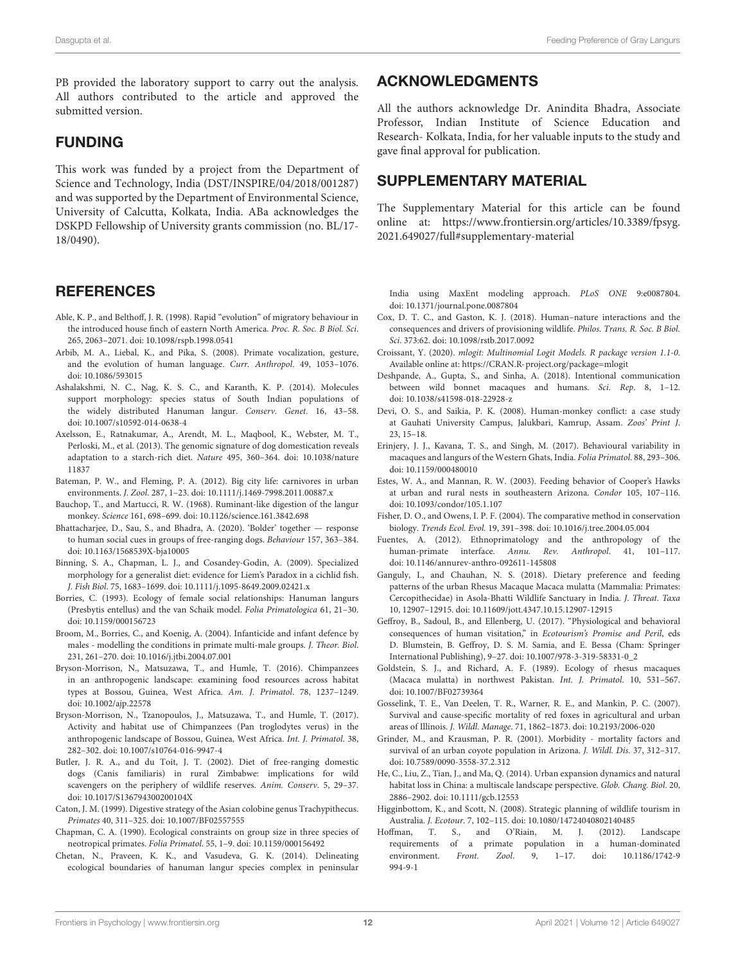PB provided the laboratory support to carry out the analysis. All authors contributed to the article and approved the submitted version.

## FUNDING

This work was funded by a project from the Department of Science and Technology, India (DST/INSPIRE/04/2018/001287) and was supported by the Department of Environmental Science, University of Calcutta, Kolkata, India. ABa acknowledges the DSKPD Fellowship of University grants commission (no. BL/17- 18/0490).

### **REFERENCES**

- Able, K. P., and Belthoff, J. R. (1998). Rapid "evolution" of migratory behaviour in the introduced house finch of eastern North America. Proc. R. Soc. B Biol. Sci. 265, 2063–2071. doi: 10.1098/rspb.1998.0541
- Arbib, M. A., Liebal, K., and Pika, S. (2008). Primate vocalization, gesture, and the evolution of human language. Curr. Anthropol. 49, 1053–1076. doi: 10.1086/593015
- Ashalakshmi, N. C., Nag, K. S. C., and Karanth, K. P. (2014). Molecules support morphology: species status of South Indian populations of the widely distributed Hanuman langur. Conserv. Genet. 16, 43–58. doi: 10.1007/s10592-014-0638-4
- Axelsson, E., Ratnakumar, A., Arendt, M. L., Maqbool, K., Webster, M. T., Perloski, M., et al. (2013). The genomic signature of dog domestication reveals adaptation to a starch-rich diet. Nature 495, 360–364. doi: 10.1038/nature 11837
- Bateman, P. W., and Fleming, P. A. (2012). Big city life: carnivores in urban environments. J. Zool. 287, 1–23. doi: 10.1111/j.1469-7998.2011.00887.x
- Bauchop, T., and Martucci, R. W. (1968). Ruminant-like digestion of the langur monkey. Science 161, 698–699. doi: 10.1126/science.161.3842.698
- Bhattacharjee, D., Sau, S., and Bhadra, A. (2020). 'Bolder' together response to human social cues in groups of free-ranging dogs. Behaviour 157, 363–384. doi: 10.1163/1568539X-bja10005
- Binning, S. A., Chapman, L. J., and Cosandey-Godin, A. (2009). Specialized morphology for a generalist diet: evidence for Liem's Paradox in a cichlid fish. J. Fish Biol. 75, 1683–1699. doi: 10.1111/j.1095-8649.2009.02421.x
- Borries, C. (1993). Ecology of female social relationships: Hanuman langurs (Presbytis entellus) and the van Schaik model. Folia Primatologica 61, 21–30. doi: 10.1159/000156723
- Broom, M., Borries, C., and Koenig, A. (2004). Infanticide and infant defence by males - modelling the conditions in primate multi-male groups. J. Theor. Biol. 231, 261–270. doi: 10.1016/j.jtbi.2004.07.001
- Bryson-Morrison, N., Matsuzawa, T., and Humle, T. (2016). Chimpanzees in an anthropogenic landscape: examining food resources across habitat types at Bossou, Guinea, West Africa. Am. J. Primatol. 78, 1237–1249. doi: 10.1002/ajp.22578
- Bryson-Morrison, N., Tzanopoulos, J., Matsuzawa, T., and Humle, T. (2017). Activity and habitat use of Chimpanzees (Pan troglodytes verus) in the anthropogenic landscape of Bossou, Guinea, West Africa. Int. J. Primatol. 38, 282–302. doi: 10.1007/s10764-016-9947-4
- Butler, J. R. A., and du Toit, J. T. (2002). Diet of free-ranging domestic dogs (Canis familiaris) in rural Zimbabwe: implications for wild scavengers on the periphery of wildlife reserves. Anim. Conserv. 5, 29–37. doi: 10.1017/S136794300200104X
- Caton, J. M. (1999). Digestive strategy of the Asian colobine genus Trachypithecus. Primates 40, 311–325. doi: 10.1007/BF02557555
- Chapman, C. A. (1990). Ecological constraints on group size in three species of neotropical primates. Folia Primatol. 55, 1–9. doi: 10.1159/000156492
- Chetan, N., Praveen, K. K., and Vasudeva, G. K. (2014). Delineating ecological boundaries of hanuman langur species complex in peninsular

# ACKNOWLEDGMENTS

All the authors acknowledge Dr. Anindita Bhadra, Associate Professor, Indian Institute of Science Education and Research- Kolkata, India, for her valuable inputs to the study and gave final approval for publication.

# SUPPLEMENTARY MATERIAL

The Supplementary Material for this article can be found online at: https://www.frontiersin.org/articles/10.3389/fpsyg. 2021.649027/full#supplementary-material

India using MaxEnt modeling approach. PLoS ONE 9:e0087804. doi: 10.1371/journal.pone.0087804

- Cox, D. T. C., and Gaston, K. J. (2018). Human–nature interactions and the consequences and drivers of provisioning wildlife. Philos. Trans. R. Soc. B Biol. Sci. 373:62. doi: 10.1098/rstb.2017.0092
- Croissant, Y. (2020). mlogit: Multinomial Logit Models. R package version 1.1-0. Available online at: https://CRAN.R-project.org/package=mlogit
- Deshpande, A., Gupta, S., and Sinha, A. (2018). Intentional communication between wild bonnet macaques and humans. Sci. Rep. 8, 1–12. doi: 10.1038/s41598-018-22928-z
- Devi, O. S., and Saikia, P. K. (2008). Human-monkey conflict: a case study at Gauhati University Campus, Jalukbari, Kamrup, Assam. Zoos' Print J. 23, 15–18.
- Erinjery, J. J., Kavana, T. S., and Singh, M. (2017). Behavioural variability in macaques and langurs of the Western Ghats, India. Folia Primatol. 88, 293–306. doi: 10.1159/000480010
- Estes, W. A., and Mannan, R. W. (2003). Feeding behavior of Cooper's Hawks at urban and rural nests in southeastern Arizona. Condor 105, 107–116. doi: 10.1093/condor/105.1.107
- Fisher, D. O., and Owens, I. P. F. (2004). The comparative method in conservation biology. Trends Ecol. Evol. 19, 391–398. doi: 10.1016/j.tree.2004.05.004
- Fuentes, A. (2012). Ethnoprimatology and the anthropology of the human-primate interface. Annu. Rev. Anthropol. 41, 101–117. doi: 10.1146/annurev-anthro-092611-145808
- Ganguly, I., and Chauhan, N. S. (2018). Dietary preference and feeding patterns of the urban Rhesus Macaque Macaca mulatta (Mammalia: Primates: Cercopithecidae) in Asola-Bhatti Wildlife Sanctuary in India. J. Threat. Taxa 10, 12907–12915. doi: 10.11609/jott.4347.10.15.12907-12915
- Geffroy, B., Sadoul, B., and Ellenberg, U. (2017). "Physiological and behavioral consequences of human visitation," in Ecotourism's Promise and Peril, eds D. Blumstein, B. Geffroy, D. S. M. Samia, and E. Bessa (Cham: Springer International Publishing), 9–27. doi: 10.1007/978-3-319-58331-0\_2
- Goldstein, S. J., and Richard, A. F. (1989). Ecology of rhesus macaques (Macaca mulatta) in northwest Pakistan. Int. J. Primatol. 10, 531–567. doi: 10.1007/BF02739364
- Gosselink, T. E., Van Deelen, T. R., Warner, R. E., and Mankin, P. C. (2007). Survival and cause-specific mortality of red foxes in agricultural and urban areas of Illinois. J. Wildl. Manage. 71, 1862–1873. doi: 10.2193/2006-020
- Grinder, M., and Krausman, P. R. (2001). Morbidity mortality factors and survival of an urban coyote population in Arizona. J. Wildl. Dis. 37, 312–317. doi: 10.7589/0090-3558-37.2.312
- He, C., Liu, Z., Tian, J., and Ma, Q. (2014). Urban expansion dynamics and natural habitat loss in China: a multiscale landscape perspective. Glob. Chang. Biol. 20, 2886–2902. doi: 10.1111/gcb.12553
- Higginbottom, K., and Scott, N. (2008). Strategic planning of wildlife tourism in Australia. J. Ecotour. 7, 102–115. doi: 10.1080/14724040802140485
- Hoffman, T. S., and O'Riain, M. J. (2012). Landscape requirements of a primate population in a human-dominated<br>environment. Front. Zool. 9, 1-17. doi: 10.1186/1742-9 environment. Front. Zool.  $9, 1-17.$  doi: 994-9-1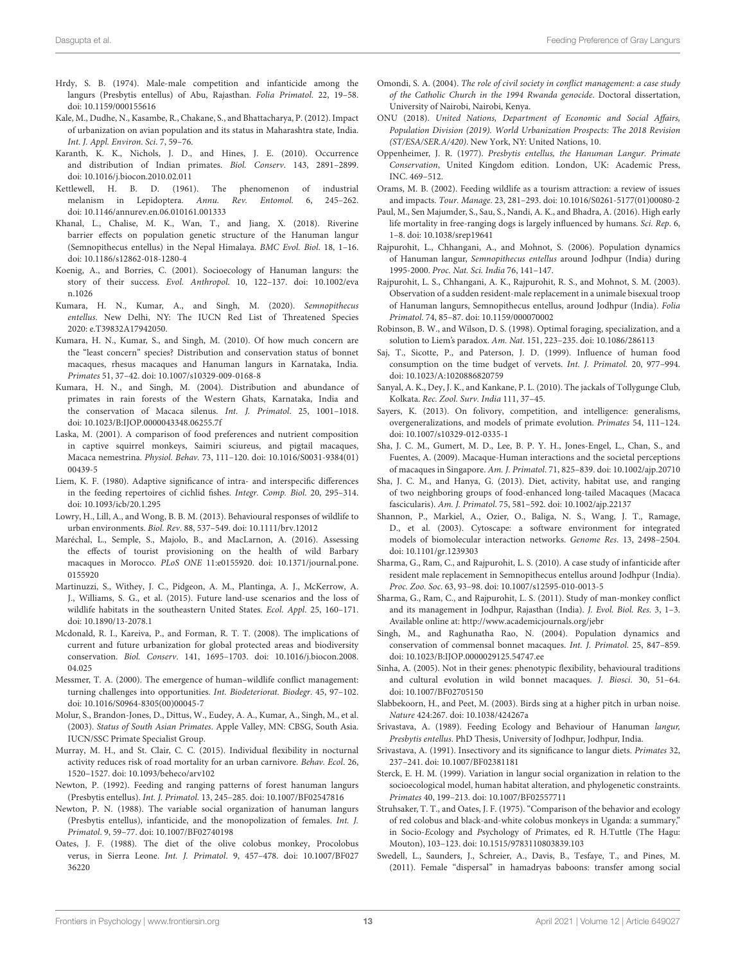- Hrdy, S. B. (1974). Male-male competition and infanticide among the langurs (Presbytis entellus) of Abu, Rajasthan. Folia Primatol. 22, 19–58. doi: 10.1159/000155616
- Kale, M., Dudhe, N., Kasambe, R., Chakane, S., and Bhattacharya, P. (2012). Impact of urbanization on avian population and its status in Maharashtra state, India. Int. J. Appl. Environ. Sci. 7, 59–76.
- Karanth, K. K., Nichols, J. D., and Hines, J. E. (2010). Occurrence and distribution of Indian primates. Biol. Conserv. 143, 2891–2899. doi: 10.1016/j.biocon.2010.02.011
- Kettlewell, H. B. D. (1961). The phenomenon of industrial melanism in Lepidoptera. Annu. Rev. Entomol. 6, 245–262. doi: 10.1146/annurev.en.06.010161.001333
- Khanal, L., Chalise, M. K., Wan, T., and Jiang, X. (2018). Riverine barrier effects on population genetic structure of the Hanuman langur (Semnopithecus entellus) in the Nepal Himalaya. BMC Evol. Biol. 18, 1–16. doi: 10.1186/s12862-018-1280-4
- Koenig, A., and Borries, C. (2001). Socioecology of Hanuman langurs: the story of their success. Evol. Anthropol. 10, 122–137. doi: 10.1002/eva n.1026
- Kumara, H. N., Kumar, A., and Singh, M. (2020). Semnopithecus entellus. New Delhi, NY: The IUCN Red List of Threatened Species 2020: e.T39832A17942050.
- Kumara, H. N., Kumar, S., and Singh, M. (2010). Of how much concern are the "least concern" species? Distribution and conservation status of bonnet macaques, rhesus macaques and Hanuman langurs in Karnataka, India. Primates 51, 37–42. doi: 10.1007/s10329-009-0168-8
- Kumara, H. N., and Singh, M. (2004). Distribution and abundance of primates in rain forests of the Western Ghats, Karnataka, India and the conservation of Macaca silenus. Int. J. Primatol. 25, 1001–1018. doi: 10.1023/B:IJOP.0000043348.06255.7f
- Laska, M. (2001). A comparison of food preferences and nutrient composition in captive squirrel monkeys, Saimiri sciureus, and pigtail macaques, Macaca nemestrina. Physiol. Behav. 73, 111–120. doi: 10.1016/S0031-9384(01) 00439-5
- Liem, K. F. (1980). Adaptive significance of intra- and interspecific differences in the feeding repertoires of cichlid fishes. Integr. Comp. Biol. 20, 295–314. doi: 10.1093/icb/20.1.295
- Lowry, H., Lill, A., and Wong, B. B. M. (2013). Behavioural responses of wildlife to urban environments. Biol. Rev. 88, 537–549. doi: 10.1111/brv.12012
- Maréchal, L., Semple, S., Majolo, B., and MacLarnon, A. (2016). Assessing the effects of tourist provisioning on the health of wild Barbary macaques in Morocco. PLoS ONE 11:e0155920. doi: 10.1371/journal.pone. 0155920
- Martinuzzi, S., Withey, J. C., Pidgeon, A. M., Plantinga, A. J., McKerrow, A. J., Williams, S. G., et al. (2015). Future land-use scenarios and the loss of wildlife habitats in the southeastern United States. Ecol. Appl. 25, 160–171. doi: 10.1890/13-2078.1
- Mcdonald, R. I., Kareiva, P., and Forman, R. T. T. (2008). The implications of current and future urbanization for global protected areas and biodiversity conservation. Biol. Conserv. 141, 1695–1703. doi: 10.1016/j.biocon.2008. 04.025
- Messmer, T. A. (2000). The emergence of human–wildlife conflict management: turning challenges into opportunities. Int. Biodeteriorat. Biodegr. 45, 97–102. doi: 10.1016/S0964-8305(00)00045-7
- Molur, S., Brandon-Jones, D., Dittus, W., Eudey, A. A., Kumar, A., Singh, M., et al. (2003). Status of South Asian Primates. Apple Valley, MN: CBSG, South Asia. IUCN/SSC Primate Specialist Group.
- Murray, M. H., and St. Clair, C. C. (2015). Individual flexibility in nocturnal activity reduces risk of road mortality for an urban carnivore. Behav. Ecol. 26, 1520–1527. doi: 10.1093/beheco/arv102
- Newton, P. (1992). Feeding and ranging patterns of forest hanuman langurs (Presbytis entellus). Int. J. Primatol. 13, 245–285. doi: 10.1007/BF02547816
- Newton, P. N. (1988). The variable social organization of hanuman langurs (Presbytis entellus), infanticide, and the monopolization of females. Int. J. Primatol. 9, 59–77. doi: 10.1007/BF02740198
- Oates, J. F. (1988). The diet of the olive colobus monkey, Procolobus verus, in Sierra Leone. Int. J. Primatol. 9, 457–478. doi: 10.1007/BF027 36220
- Omondi, S. A. (2004). The role of civil society in conflict management: a case study of the Catholic Church in the 1994 Rwanda genocide. Doctoral dissertation, University of Nairobi, Nairobi, Kenya.
- ONU (2018). United Nations, Department of Economic and Social Affairs, Population Division (2019). World Urbanization Prospects: The 2018 Revision (ST/ESA/SER.A/420). New York, NY: United Nations, 10.
- Oppenheimer, J. R. (1977). Presbytis entellus, the Hanuman Langur. Primate Conservation, United Kingdom edition. London, UK: Academic Press, INC. 469–512.
- Orams, M. B. (2002). Feeding wildlife as a tourism attraction: a review of issues and impacts. Tour. Manage. 23, 281–293. doi: 10.1016/S0261-5177(01)00080-2
- Paul, M., Sen Majumder, S., Sau, S., Nandi, A. K., and Bhadra, A. (2016). High early life mortality in free-ranging dogs is largely influenced by humans. Sci. Rep. 6, 1–8. doi: 10.1038/srep19641
- Rajpurohit, L., Chhangani, A., and Mohnot, S. (2006). Population dynamics of Hanuman langur, Semnopithecus entellus around Jodhpur (India) during 1995-2000. Proc. Nat. Sci. India 76, 141–147.
- Rajpurohit, L. S., Chhangani, A. K., Rajpurohit, R. S., and Mohnot, S. M. (2003). Observation of a sudden resident-male replacement in a unimale bisexual troop of Hanuman langurs, Semnopithecus entellus, around Jodhpur (India). Folia Primatol. 74, 85–87. doi: 10.1159/000070002
- Robinson, B. W., and Wilson, D. S. (1998). Optimal foraging, specialization, and a solution to Liem's paradox. Am. Nat. 151, 223–235. doi: 10.1086/286113
- Saj, T., Sicotte, P., and Paterson, J. D. (1999). Influence of human food consumption on the time budget of vervets. Int. J. Primatol. 20, 977–994. doi: 10.1023/A:1020886820759
- Sanyal, A. K., Dey, J. K., and Kankane, P. L. (2010). The jackals of Tollygunge Club, Kolkata. Rec. Zool. Surv. India 111, 37–45.
- Sayers, K. (2013). On folivory, competition, and intelligence: generalisms, overgeneralizations, and models of primate evolution. Primates 54, 111–124. doi: 10.1007/s10329-012-0335-1
- Sha, J. C. M., Gumert, M. D., Lee, B. P. Y. H., Jones-Engel, L., Chan, S., and Fuentes, A. (2009). Macaque-Human interactions and the societal perceptions of macaques in Singapore. Am. J. Primatol. 71, 825–839. doi: 10.1002/ajp.20710
- Sha, J. C. M., and Hanya, G. (2013). Diet, activity, habitat use, and ranging of two neighboring groups of food-enhanced long-tailed Macaques (Macaca fascicularis). Am. J. Primatol. 75, 581–592. doi: 10.1002/ajp.22137
- Shannon, P., Markiel, A., Ozier, O., Baliga, N. S., Wang, J. T., Ramage, D., et al. (2003). Cytoscape: a software environment for integrated models of biomolecular interaction networks. Genome Res. 13, 2498–2504. doi: 10.1101/gr.1239303
- Sharma, G., Ram, C., and Rajpurohit, L. S. (2010). A case study of infanticide after resident male replacement in Semnopithecus entellus around Jodhpur (India). Proc. Zoo. Soc. 63, 93–98. doi: 10.1007/s12595-010-0013-5
- Sharma, G., Ram, C., and Rajpurohit, L. S. (2011). Study of man-monkey conflict and its management in Jodhpur, Rajasthan (India). J. Evol. Biol. Res. 3, 1–3. Available online at: http://www.academicjournals.org/jebr
- Singh, M., and Raghunatha Rao, N. (2004). Population dynamics and conservation of commensal bonnet macaques. Int. J. Primatol. 25, 847–859. doi: 10.1023/B:IJOP.0000029125.54747.ee
- Sinha, A. (2005). Not in their genes: phenotypic flexibility, behavioural traditions and cultural evolution in wild bonnet macaques. J. Biosci. 30, 51–64. doi: 10.1007/BF02705150
- Slabbekoorn, H., and Peet, M. (2003). Birds sing at a higher pitch in urban noise. Nature 424:267. doi: 10.1038/424267a
- Srivastava, A. (1989). Feeding Ecology and Behaviour of Hanuman langur, Presbytis entellus. PhD Thesis, University of Jodhpur, Jodhpur, India.
- Srivastava, A. (1991). Insectivory and its significance to langur diets. Primates 32, 237–241. doi: 10.1007/BF02381181
- Sterck, E. H. M. (1999). Variation in langur social organization in relation to the socioecological model, human habitat alteration, and phylogenetic constraints. Primates 40, 199–213. doi: 10.1007/BF02557711
- Struhsaker, T. T., and Oates, J. F. (1975). "Comparison of the behavior and ecology of red colobus and black-and-white colobus monkeys in Uganda: a summary," in Socio-Ecology and Psychology of Primates, ed R. H.Tuttle (The Hagu: Mouton), 103–123. doi: 10.1515/9783110803839.103
- Swedell, L., Saunders, J., Schreier, A., Davis, B., Tesfaye, T., and Pines, M. (2011). Female "dispersal" in hamadryas baboons: transfer among social